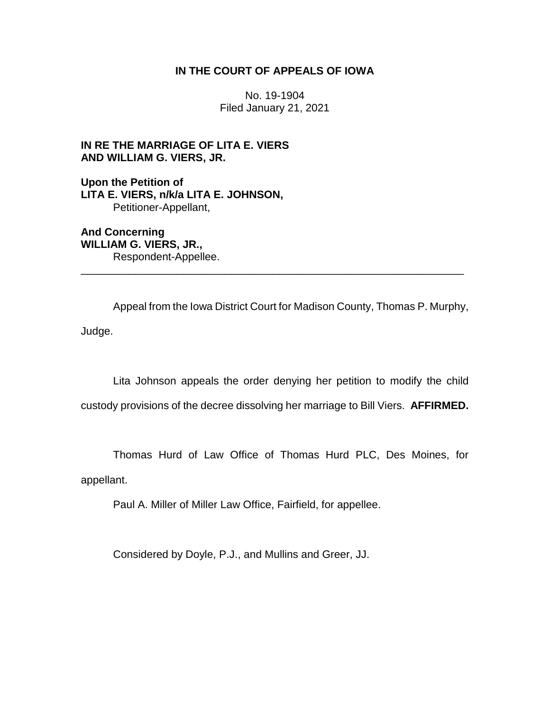## **IN THE COURT OF APPEALS OF IOWA**

No. 19-1904 Filed January 21, 2021

## **IN RE THE MARRIAGE OF LITA E. VIERS AND WILLIAM G. VIERS, JR.**

**Upon the Petition of LITA E. VIERS, n/k/a LITA E. JOHNSON,** Petitioner-Appellant,

**And Concerning WILLIAM G. VIERS, JR.,** Respondent-Appellee.

Appeal from the Iowa District Court for Madison County, Thomas P. Murphy, Judge.

\_\_\_\_\_\_\_\_\_\_\_\_\_\_\_\_\_\_\_\_\_\_\_\_\_\_\_\_\_\_\_\_\_\_\_\_\_\_\_\_\_\_\_\_\_\_\_\_\_\_\_\_\_\_\_\_\_\_\_\_\_\_\_\_

Lita Johnson appeals the order denying her petition to modify the child

custody provisions of the decree dissolving her marriage to Bill Viers. **AFFIRMED.**

Thomas Hurd of Law Office of Thomas Hurd PLC, Des Moines, for

appellant.

Paul A. Miller of Miller Law Office, Fairfield, for appellee.

Considered by Doyle, P.J., and Mullins and Greer, JJ.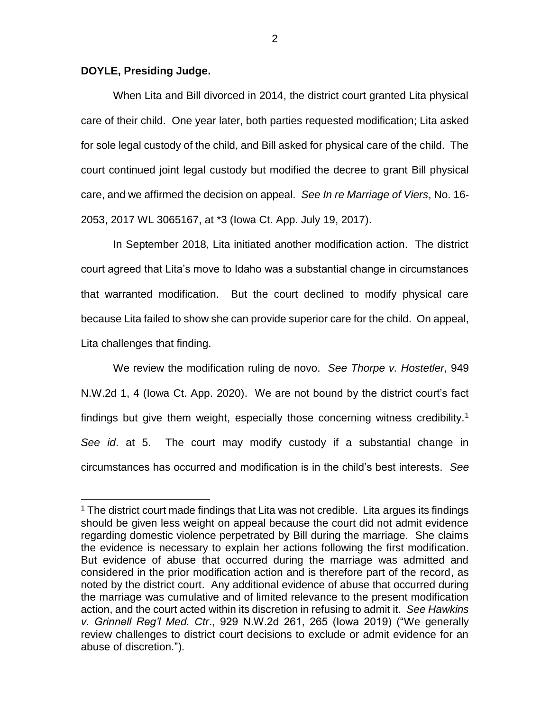## **DOYLE, Presiding Judge.**

 $\overline{a}$ 

When Lita and Bill divorced in 2014, the district court granted Lita physical care of their child. One year later, both parties requested modification; Lita asked for sole legal custody of the child, and Bill asked for physical care of the child. The court continued joint legal custody but modified the decree to grant Bill physical care, and we affirmed the decision on appeal. *See In re Marriage of Viers*, No. 16- 2053, 2017 WL 3065167, at \*3 (Iowa Ct. App. July 19, 2017).

In September 2018, Lita initiated another modification action. The district court agreed that Lita's move to Idaho was a substantial change in circumstances that warranted modification. But the court declined to modify physical care because Lita failed to show she can provide superior care for the child. On appeal, Lita challenges that finding.

We review the modification ruling de novo. *See Thorpe v. Hostetler*, 949 N.W.2d 1, 4 (Iowa Ct. App. 2020). We are not bound by the district court's fact findings but give them weight, especially those concerning witness credibility.<sup>1</sup> *See id*. at 5. The court may modify custody if a substantial change in circumstances has occurred and modification is in the child's best interests. *See* 

 $1$  The district court made findings that Lita was not credible. Lita argues its findings should be given less weight on appeal because the court did not admit evidence regarding domestic violence perpetrated by Bill during the marriage. She claims the evidence is necessary to explain her actions following the first modification. But evidence of abuse that occurred during the marriage was admitted and considered in the prior modification action and is therefore part of the record, as noted by the district court. Any additional evidence of abuse that occurred during the marriage was cumulative and of limited relevance to the present modification action, and the court acted within its discretion in refusing to admit it. *See Hawkins v. Grinnell Reg'l Med. Ctr*., 929 N.W.2d 261, 265 (Iowa 2019) ("We generally review challenges to district court decisions to exclude or admit evidence for an abuse of discretion.").